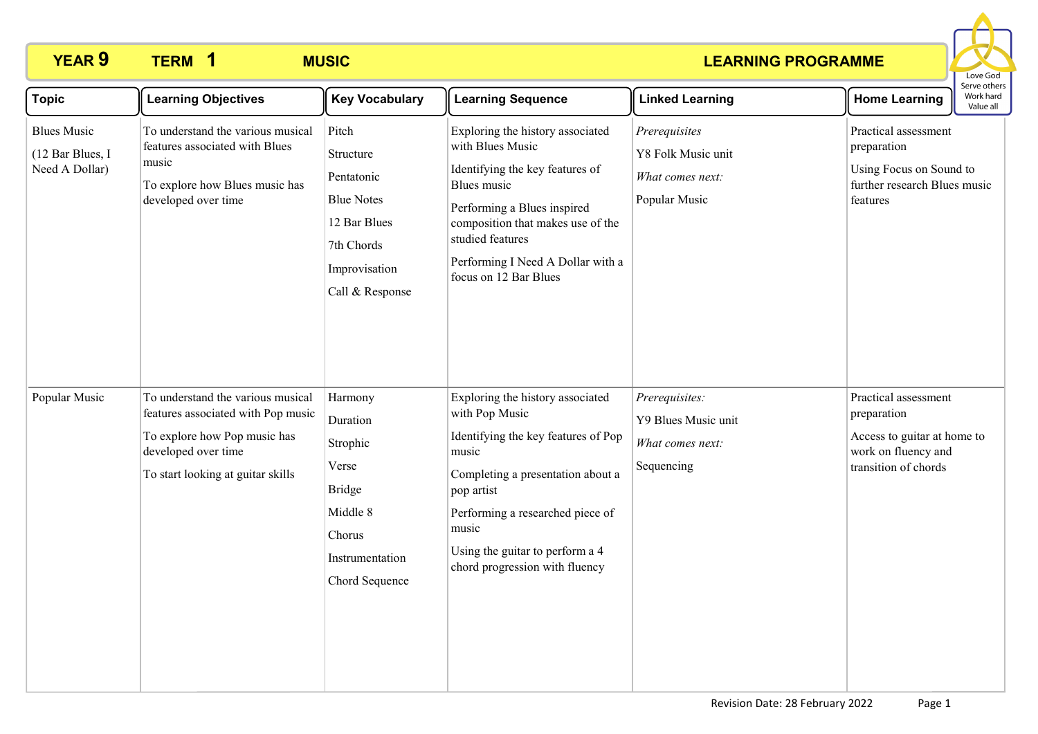# **YEAR 9 TERM MUSIC 1**

### **LEARNING PROGRAMME**



| <b>Topic</b>                                             | <b>Learning Objectives</b>                                                                                                                                          | <b>Key Vocabulary</b>                                                                                                   | <b>Learning Sequence</b>                                                                                                                                                                                                                                                | <b>Linked Learning</b>                                                   | <b>Home Learning</b>                                                                                              | Serve others<br>Work hard<br>Value all |
|----------------------------------------------------------|---------------------------------------------------------------------------------------------------------------------------------------------------------------------|-------------------------------------------------------------------------------------------------------------------------|-------------------------------------------------------------------------------------------------------------------------------------------------------------------------------------------------------------------------------------------------------------------------|--------------------------------------------------------------------------|-------------------------------------------------------------------------------------------------------------------|----------------------------------------|
| <b>Blues Music</b><br>(12 Bar Blues, I<br>Need A Dollar) | To understand the various musical<br>features associated with Blues<br>music<br>To explore how Blues music has<br>developed over time                               | Pitch<br>Structure<br>Pentatonic<br><b>Blue Notes</b><br>12 Bar Blues<br>7th Chords<br>Improvisation<br>Call & Response | Exploring the history associated<br>with Blues Music<br>Identifying the key features of<br>Blues music<br>Performing a Blues inspired<br>composition that makes use of the<br>studied features<br>Performing I Need A Dollar with a<br>focus on 12 Bar Blues            | Prerequisites<br>Y8 Folk Music unit<br>What comes next:<br>Popular Music | Practical assessment<br>preparation<br>Using Focus on Sound to<br>further research Blues music<br>features        |                                        |
| Popular Music                                            | To understand the various musical<br>features associated with Pop music<br>To explore how Pop music has<br>developed over time<br>To start looking at guitar skills | Harmony<br>Duration<br>Strophic<br>Verse<br><b>Bridge</b><br>Middle 8<br>Chorus<br>Instrumentation<br>Chord Sequence    | Exploring the history associated<br>with Pop Music<br>Identifying the key features of Pop<br>music<br>Completing a presentation about a<br>pop artist<br>Performing a researched piece of<br>music<br>Using the guitar to perform a 4<br>chord progression with fluency | Prerequisites:<br>Y9 Blues Music unit<br>What comes next:<br>Sequencing  | Practical assessment<br>preparation<br>Access to guitar at home to<br>work on fluency and<br>transition of chords |                                        |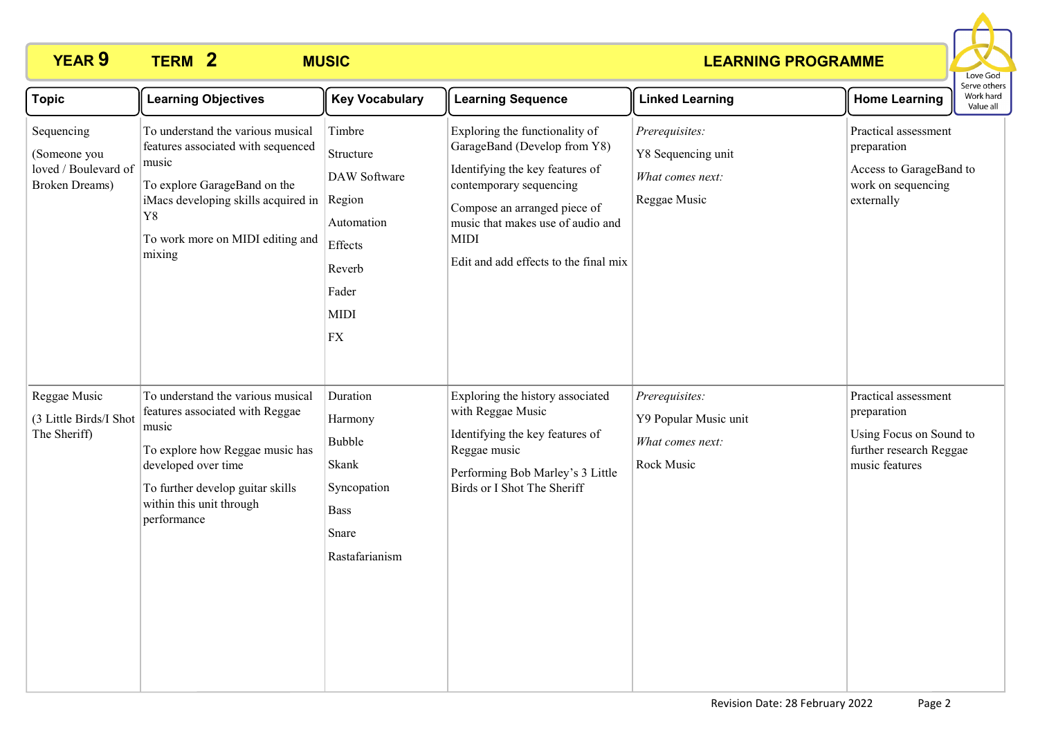# **YEAR 9 TERM MUSIC 2**

### **LEARNING PROGRAMME**



| <b>Topic</b>                                                                 | <b>Learning Objectives</b>                                                                                                                                                                                             | <b>Key Vocabulary</b>                                                                                                  | <b>Learning Sequence</b>                                                                                                                                                                                                                                  | <b>Linked Learning</b>                                                    | <b>Home Learning</b>                                                                                        | Serve others<br>Work hard<br>Value all |
|------------------------------------------------------------------------------|------------------------------------------------------------------------------------------------------------------------------------------------------------------------------------------------------------------------|------------------------------------------------------------------------------------------------------------------------|-----------------------------------------------------------------------------------------------------------------------------------------------------------------------------------------------------------------------------------------------------------|---------------------------------------------------------------------------|-------------------------------------------------------------------------------------------------------------|----------------------------------------|
| Sequencing<br>(Someone you<br>loved / Boulevard of<br><b>Broken Dreams</b> ) | To understand the various musical<br>features associated with sequenced<br>music<br>To explore GarageBand on the<br>iMacs developing skills acquired in<br>Y8<br>To work more on MIDI editing and<br>mixing            | Timbre<br>Structure<br>DAW Software<br>Region<br>Automation<br>Effects<br>Reverb<br>Fader<br><b>MIDI</b><br>${\rm FX}$ | Exploring the functionality of<br>GarageBand (Develop from Y8)<br>Identifying the key features of<br>contemporary sequencing<br>Compose an arranged piece of<br>music that makes use of audio and<br><b>MIDI</b><br>Edit and add effects to the final mix | Prerequisites:<br>Y8 Sequencing unit<br>What comes next:<br>Reggae Music  | Practical assessment<br>preparation<br>Access to GarageBand to<br>work on sequencing<br>externally          |                                        |
| Reggae Music<br>(3 Little Birds/I Shot<br>The Sheriff)                       | To understand the various musical<br>features associated with Reggae<br>music<br>To explore how Reggae music has<br>developed over time<br>To further develop guitar skills<br>within this unit through<br>performance | Duration<br>Harmony<br>Bubble<br>Skank<br>Syncopation<br><b>Bass</b><br>Snare<br>Rastafarianism                        | Exploring the history associated<br>with Reggae Music<br>Identifying the key features of<br>Reggae music<br>Performing Bob Marley's 3 Little<br>Birds or I Shot The Sheriff                                                                               | Prerequisites:<br>Y9 Popular Music unit<br>What comes next:<br>Rock Music | Practical assessment<br>preparation<br>Using Focus on Sound to<br>further research Reggae<br>music features |                                        |